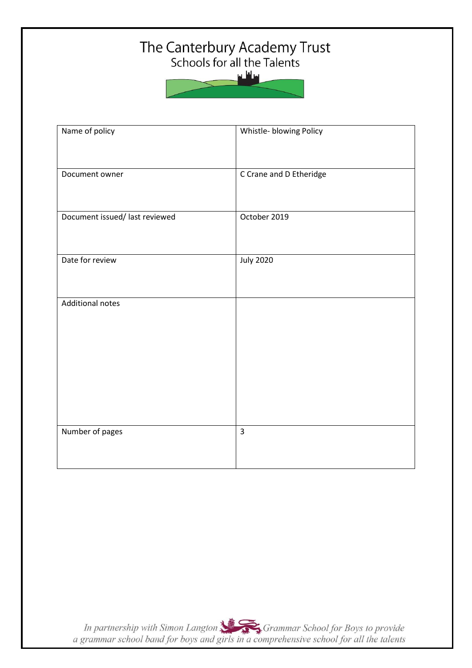# The Canterbury Academy Trust<br>Schools for all the Talents



| Name of policy                 | Whistle- blowing Policy |
|--------------------------------|-------------------------|
| Document owner                 | C Crane and D Etheridge |
| Document issued/ last reviewed | October 2019            |
| Date for review                | <b>July 2020</b>        |
| <b>Additional notes</b>        |                         |
| Number of pages                | $\overline{\mathbf{3}}$ |

In partnership with Simon Langton Sexting Grammar School for Boys to provide<br>a grammar school band for boys and girls in a comprehensive school for all the talents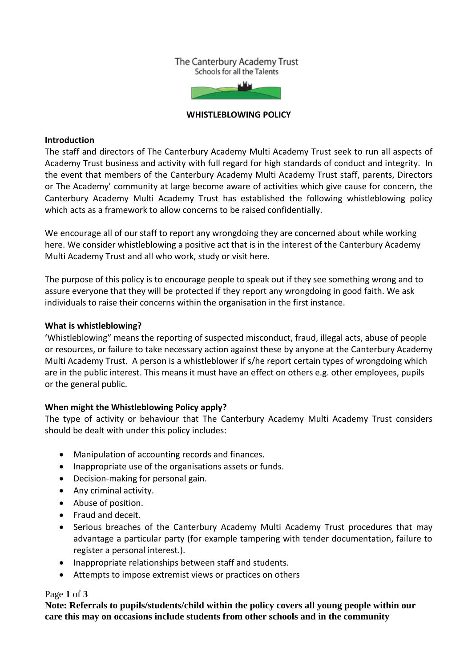#### The Canterbury Academy Trust Schools for all the Talents



#### **WHISTLEBLOWING POLICY**

#### **Introduction**

The staff and directors of The Canterbury Academy Multi Academy Trust seek to run all aspects of Academy Trust business and activity with full regard for high standards of conduct and integrity. In the event that members of the Canterbury Academy Multi Academy Trust staff, parents, Directors or The Academy' community at large become aware of activities which give cause for concern, the Canterbury Academy Multi Academy Trust has established the following whistleblowing policy which acts as a framework to allow concerns to be raised confidentially.

We encourage all of our staff to report any wrongdoing they are concerned about while working here. We consider whistleblowing a positive act that is in the interest of the Canterbury Academy Multi Academy Trust and all who work, study or visit here.

The purpose of this policy is to encourage people to speak out if they see something wrong and to assure everyone that they will be protected if they report any wrongdoing in good faith. We ask individuals to raise their concerns within the organisation in the first instance.

### **What is whistleblowing?**

'Whistleblowing" means the reporting of suspected misconduct, fraud, illegal acts, abuse of people or resources, or failure to take necessary action against these by anyone at the Canterbury Academy Multi Academy Trust. A person is a whistleblower if s/he report certain types of wrongdoing which are in the public interest. This means it must have an effect on others e.g. other employees, pupils or the general public.

# **When might the Whistleblowing Policy apply?**

The type of activity or behaviour that The Canterbury Academy Multi Academy Trust considers should be dealt with under this policy includes:

- Manipulation of accounting records and finances.
- Inappropriate use of the organisations assets or funds.
- Decision-making for personal gain.
- Any criminal activity.
- Abuse of position.
- Fraud and deceit.
- Serious breaches of the Canterbury Academy Multi Academy Trust procedures that may advantage a particular party (for example tampering with tender documentation, failure to register a personal interest.).
- Inappropriate relationships between staff and students.
- Attempts to impose extremist views or practices on others

### Page **1** of **3**

**Note: Referrals to pupils/students/child within the policy covers all young people within our care this may on occasions include students from other schools and in the community**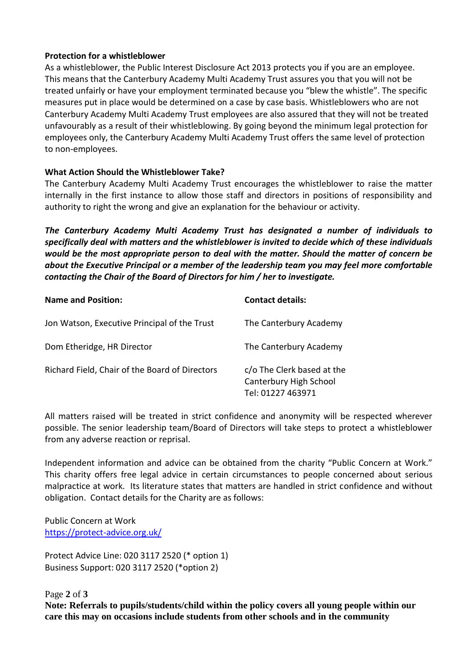## **Protection for a whistleblower**

As a whistleblower, the Public Interest Disclosure Act 2013 protects you if you are an employee. This means that the Canterbury Academy Multi Academy Trust assures you that you will not be treated unfairly or have your employment terminated because you "blew the whistle". The specific measures put in place would be determined on a case by case basis. Whistleblowers who are not Canterbury Academy Multi Academy Trust employees are also assured that they will not be treated unfavourably as a result of their whistleblowing. By going beyond the minimum legal protection for employees only, the Canterbury Academy Multi Academy Trust offers the same level of protection to non-employees.

# **What Action Should the Whistleblower Take?**

The Canterbury Academy Multi Academy Trust encourages the whistleblower to raise the matter internally in the first instance to allow those staff and directors in positions of responsibility and authority to right the wrong and give an explanation for the behaviour or activity.

*The Canterbury Academy Multi Academy Trust has designated a number of individuals to specifically deal with matters and the whistleblower is invited to decide which of these individuals would be the most appropriate person to deal with the matter. Should the matter of concern be about the Executive Principal or a member of the leadership team you may feel more comfortable contacting the Chair of the Board of Directors for him / her to investigate.*

| <b>Name and Position:</b>                      | <b>Contact details:</b>                                                   |
|------------------------------------------------|---------------------------------------------------------------------------|
| Jon Watson, Executive Principal of the Trust   | The Canterbury Academy                                                    |
| Dom Etheridge, HR Director                     | The Canterbury Academy                                                    |
| Richard Field, Chair of the Board of Directors | c/o The Clerk based at the<br>Canterbury High School<br>Tel: 01227 463971 |

All matters raised will be treated in strict confidence and anonymity will be respected wherever possible. The senior leadership team/Board of Directors will take steps to protect a whistleblower from any adverse reaction or reprisal.

Independent information and advice can be obtained from the charity "Public Concern at Work." This charity offers free legal advice in certain circumstances to people concerned about serious malpractice at work. Its literature states that matters are handled in strict confidence and without obligation. Contact details for the Charity are as follows:

Public Concern at Work <https://protect-advice.org.uk/>

Protect Advice Line: 020 3117 2520 (\* option 1) Business Support: 020 3117 2520 (\*option 2)

Page **2** of **3**

**Note: Referrals to pupils/students/child within the policy covers all young people within our care this may on occasions include students from other schools and in the community**